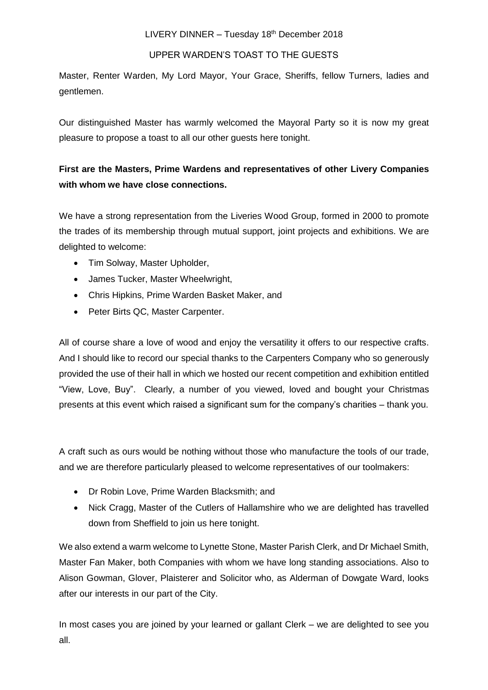## UPPER WARDEN'S TOAST TO THE GUESTS

Master, Renter Warden, My Lord Mayor, Your Grace, Sheriffs, fellow Turners, ladies and gentlemen.

Our distinguished Master has warmly welcomed the Mayoral Party so it is now my great pleasure to propose a toast to all our other guests here tonight.

## **First are the Masters, Prime Wardens and representatives of other Livery Companies with whom we have close connections.**

We have a strong representation from the Liveries Wood Group, formed in 2000 to promote the trades of its membership through mutual support, joint projects and exhibitions. We are delighted to welcome:

- Tim Solway, Master Upholder,
- James Tucker, Master Wheelwright,
- Chris Hipkins, Prime Warden Basket Maker, and
- Peter Birts QC, Master Carpenter.

All of course share a love of wood and enjoy the versatility it offers to our respective crafts. And I should like to record our special thanks to the Carpenters Company who so generously provided the use of their hall in which we hosted our recent competition and exhibition entitled "View, Love, Buy". Clearly, a number of you viewed, loved and bought your Christmas presents at this event which raised a significant sum for the company's charities – thank you.

A craft such as ours would be nothing without those who manufacture the tools of our trade, and we are therefore particularly pleased to welcome representatives of our toolmakers:

- Dr Robin Love, Prime Warden Blacksmith; and
- Nick Cragg, Master of the Cutlers of Hallamshire who we are delighted has travelled down from Sheffield to join us here tonight.

We also extend a warm welcome to Lynette Stone, Master Parish Clerk, and Dr Michael Smith, Master Fan Maker, both Companies with whom we have long standing associations. Also to Alison Gowman, Glover, Plaisterer and Solicitor who, as Alderman of Dowgate Ward, looks after our interests in our part of the City.

In most cases you are joined by your learned or gallant Clerk – we are delighted to see you all.